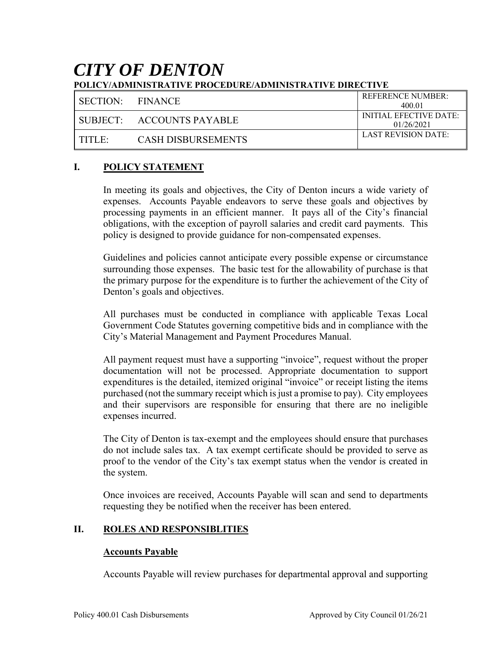# *CITY OF DENTON* **POLICY/ADMINISTRATIVE PROCEDURE/ADMINISTRATIVE DIRECTIVE**

| SECTION:        | <b>FINANCE</b>              | <b>REFERENCE NUMBER:</b><br>400.01   |
|-----------------|-----------------------------|--------------------------------------|
|                 | I SUBJECT: ACCOUNTS PAYABLE | INITIAL EFECTIVE DATE:<br>01/26/2021 |
| $\Gamma$ title. | CASH DISBURSEMENTS          | LAST REVISION DATE:                  |

## **I. POLICY STATEMENT**

In meeting its goals and objectives, the City of Denton incurs a wide variety of expenses. Accounts Payable endeavors to serve these goals and objectives by processing payments in an efficient manner. It pays all of the City's financial obligations, with the exception of payroll salaries and credit card payments. This policy is designed to provide guidance for non-compensated expenses.

Guidelines and policies cannot anticipate every possible expense or circumstance surrounding those expenses. The basic test for the allowability of purchase is that the primary purpose for the expenditure is to further the achievement of the City of Denton's goals and objectives.

All purchases must be conducted in compliance with applicable Texas Local Government Code Statutes governing competitive bids and in compliance with the City's Material Management and Payment Procedures Manual.

All payment request must have a supporting "invoice", request without the proper documentation will not be processed. Appropriate documentation to support expenditures is the detailed, itemized original "invoice" or receipt listing the items purchased (not the summary receipt which is just a promise to pay). City employees and their supervisors are responsible for ensuring that there are no ineligible expenses incurred.

The City of Denton is tax-exempt and the employees should ensure that purchases do not include sales tax. A tax exempt certificate should be provided to serve as proof to the vendor of the City's tax exempt status when the vendor is created in the system.

Once invoices are received, Accounts Payable will scan and send to departments requesting they be notified when the receiver has been entered.

#### **II. ROLES AND RESPONSIBLITIES**

#### **Accounts Payable**

Accounts Payable will review purchases for departmental approval and supporting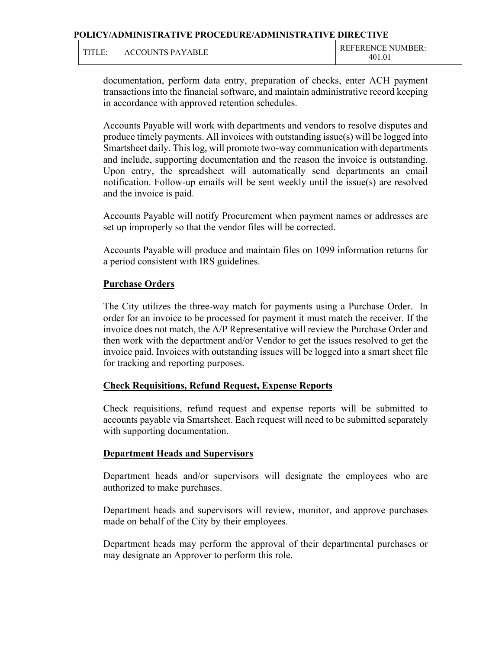| TITLE: | ACCOUNTS PAYABLE |  | <b>REFERENCE NUMBER:</b><br>401.01 |
|--------|------------------|--|------------------------------------|
|--------|------------------|--|------------------------------------|

documentation, perform data entry, preparation of checks, enter ACH payment transactions into the financial software, and maintain administrative record keeping in accordance with approved retention schedules.

Accounts Payable will work with departments and vendors to resolve disputes and produce timely payments. All invoices with outstanding issue(s) will be logged into Smartsheet daily. This log, will promote two-way communication with departments and include, supporting documentation and the reason the invoice is outstanding. Upon entry, the spreadsheet will automatically send departments an email notification. Follow-up emails will be sent weekly until the issue(s) are resolved and the invoice is paid.

Accounts Payable will notify Procurement when payment names or addresses are set up improperly so that the vendor files will be corrected.

Accounts Payable will produce and maintain files on 1099 information returns for a period consistent with IRS guidelines.

### **Purchase Orders**

The City utilizes the three-way match for payments using a Purchase Order. In order for an invoice to be processed for payment it must match the receiver. If the invoice does not match, the A/P Representative will review the Purchase Order and then work with the department and/or Vendor to get the issues resolved to get the invoice paid. Invoices with outstanding issues will be logged into a smart sheet file for tracking and reporting purposes.

#### **Check Requisitions, Refund Request, Expense Reports**

Check requisitions, refund request and expense reports will be submitted to accounts payable via Smartsheet. Each request will need to be submitted separately with supporting documentation.

#### **Department Heads and Supervisors**

Department heads and/or supervisors will designate the employees who are authorized to make purchases.

Department heads and supervisors will review, monitor, and approve purchases made on behalf of the City by their employees.

Department heads may perform the approval of their departmental purchases or may designate an Approver to perform this role.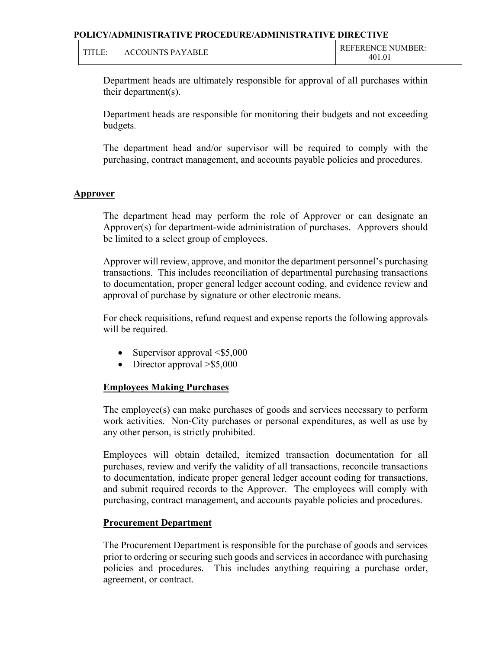| TITI<br>. н. | <b>ACCOUNTS PAYABLE</b> | <b>REFERENCE NUMBER:</b><br>401.01 |  |
|--------------|-------------------------|------------------------------------|--|
|--------------|-------------------------|------------------------------------|--|

Department heads are ultimately responsible for approval of all purchases within their department(s).

Department heads are responsible for monitoring their budgets and not exceeding budgets.

The department head and/or supervisor will be required to comply with the purchasing, contract management, and accounts payable policies and procedures.

#### **Approver**

The department head may perform the role of Approver or can designate an Approver(s) for department-wide administration of purchases. Approvers should be limited to a select group of employees.

Approver will review, approve, and monitor the department personnel's purchasing transactions. This includes reconciliation of departmental purchasing transactions to documentation, proper general ledger account coding, and evidence review and approval of purchase by signature or other electronic means.

For check requisitions, refund request and expense reports the following approvals will be required.

- Supervisor approval  $\leq$ \$5,000
- Director approval  $> $5,000$

## **Employees Making Purchases**

 The employee(s) can make purchases of goods and services necessary to perform work activities. Non-City purchases or personal expenditures, as well as use by any other person, is strictly prohibited.

 Employees will obtain detailed, itemized transaction documentation for all purchases, review and verify the validity of all transactions, reconcile transactions to documentation, indicate proper general ledger account coding for transactions, and submit required records to the Approver. The employees will comply with purchasing, contract management, and accounts payable policies and procedures.

## **Procurement Department**

 The Procurement Department is responsible for the purchase of goods and services prior to ordering or securing such goods and services in accordance with purchasing policies and procedures. This includes anything requiring a purchase order, agreement, or contract.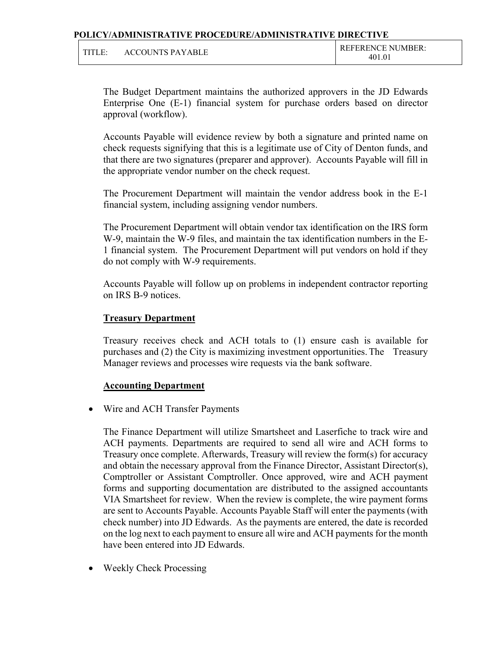| TITI F | ACCOUNTS PAYARLE | <b>REFERENCE NUMBER:</b> |
|--------|------------------|--------------------------|
|        |                  |                          |

 The Budget Department maintains the authorized approvers in the JD Edwards Enterprise One (E-1) financial system for purchase orders based on director approval (workflow).

 Accounts Payable will evidence review by both a signature and printed name on check requests signifying that this is a legitimate use of City of Denton funds, and that there are two signatures (preparer and approver). Accounts Payable will fill in the appropriate vendor number on the check request.

 The Procurement Department will maintain the vendor address book in the E-1 financial system, including assigning vendor numbers.

 The Procurement Department will obtain vendor tax identification on the IRS form W-9, maintain the W-9 files, and maintain the tax identification numbers in the E-1 financial system. The Procurement Department will put vendors on hold if they do not comply with W-9 requirements.

 Accounts Payable will follow up on problems in independent contractor reporting on IRS B-9 notices.

#### **Treasury Department**

 Treasury receives check and ACH totals to (1) ensure cash is available for purchases and (2) the City is maximizing investment opportunities. The Treasury Manager reviews and processes wire requests via the bank software.

#### **Accounting Department**

• Wire and ACH Transfer Payments

The Finance Department will utilize Smartsheet and Laserfiche to track wire and ACH payments. Departments are required to send all wire and ACH forms to Treasury once complete. Afterwards, Treasury will review the form(s) for accuracy and obtain the necessary approval from the Finance Director, Assistant Director(s), Comptroller or Assistant Comptroller. Once approved, wire and ACH payment forms and supporting documentation are distributed to the assigned accountants VIA Smartsheet for review. When the review is complete, the wire payment forms are sent to Accounts Payable. Accounts Payable Staff will enter the payments (with check number) into JD Edwards. As the payments are entered, the date is recorded on the log next to each payment to ensure all wire and ACH payments for the month have been entered into JD Edwards.

Weekly Check Processing